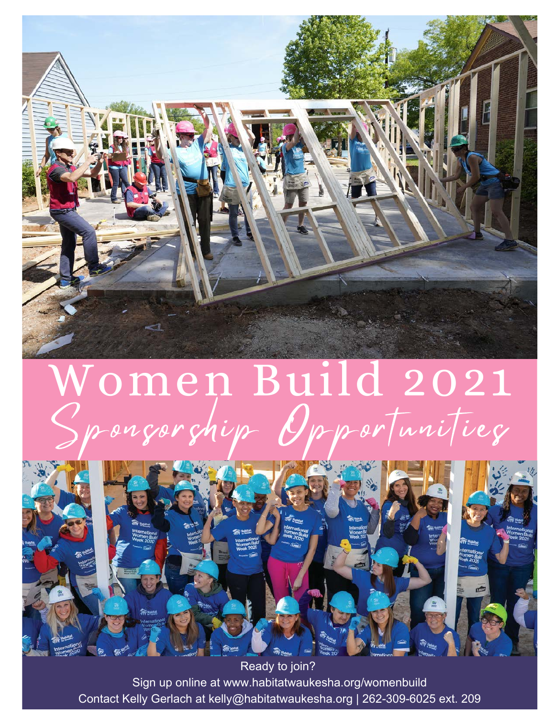

## Women Build 2021 Sponsorship Opportunities



Sign up online at www.habitatwaukesha.org/womenbuild Contact Kelly Gerlach at kelly@habitatwaukesha.org | 262-309-6025 ext. 209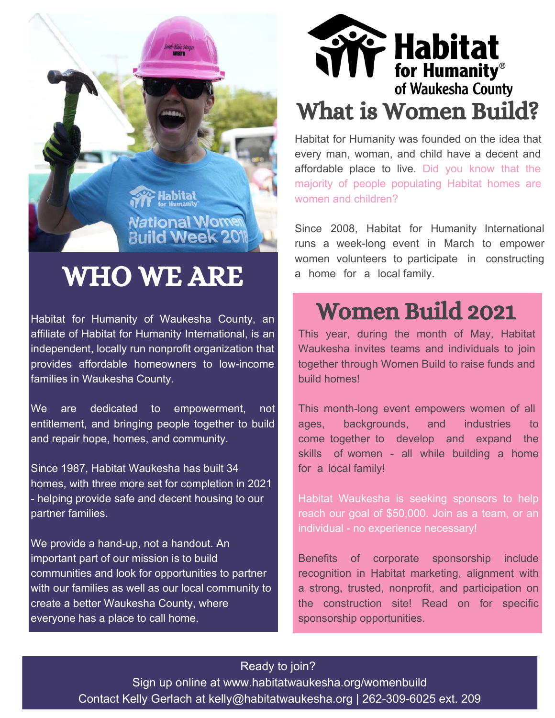

## WHO WE ARE

Habitat for Humanity of Waukesha County, an affiliate of Habitat for Humanity International, is an independent, locally run nonprofit organization that provides affordable homeowners to low-income families in Waukesha County.

We are dedicated to empowerment, not entitlement, and bringing people together to build and repair hope, homes, and community.

Since 1987, Habitat Waukesha has built 34 homes, with three more set for completion in 2021 - helping provide safe and decent housing to our partner families.

We provide a hand-up, not a handout. An important part of our mission is to build communities and look for opportunities to partner with our families as well as our local community to create a better Waukesha County, where everyone has a place to call home.

# **We Habitat**<br>for Humanity®<br>of Waukesha County What is Women Build?

Habitat for Humanity was founded on the idea that every man, woman, and child have a decent and affordable place to live. Did you know that the majority of people populating Habitat homes are women and children?

Since 2008, Habitat for Humanity International runs a week-long event in March to empower women volunteers to participate in constructing a home for a local family.

## Women Build 2021

This year, during the month of May, Habitat Waukesha invites teams and individuals to join together through Women Build to raise funds and build homes!

This month-long event empowers women of all ages, backgrounds, and industries to come together to develop and expand the skills of women - all while building a home for a local family!

Habitat Waukesha is seeking sponsors to help reach our goal of \$50,000. Join as a team, or an individual - no experience necessary!

Benefits of corporate sponsorship include recognition in Habitat marketing, alignment with a strong, trusted, nonprofit, and participation on the construction site! Read on for specific sponsorship opportunities.

#### Ready to join?

Sign up online at www.habitatwaukesha.org/womenbuild Contact Kelly Gerlach at kelly@habitatwaukesha.org | 262-309-6025 ext. 209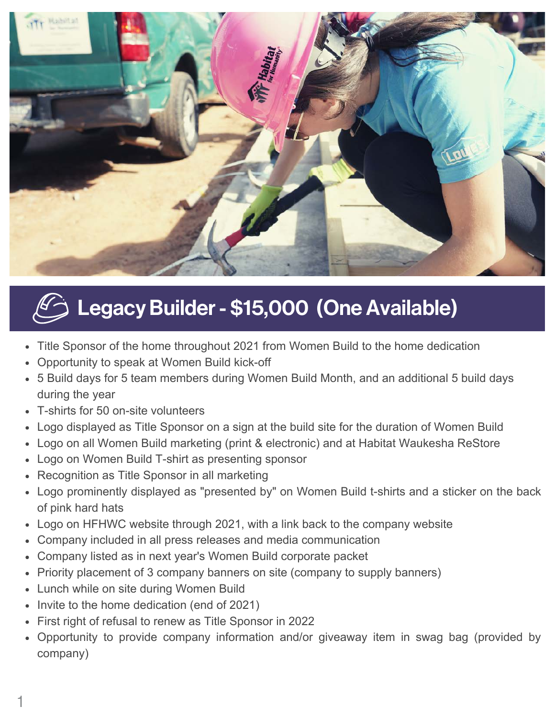

## $\overline{\mathscr{L}}$  Legacy Builder - \$15,000 (One Available)

- Title Sponsor of the home throughout 2021 from Women Build to the home dedication
- Opportunity to speak at Women Build kick-off
- 5 Build days for 5 team members during Women Build Month, and an additional 5 build days during the year
- T-shirts for 50 on-site volunteers
- Logo displayed as Title Sponsor on a sign at the build site for the duration of Women Build
- Logo on all Women Build marketing (print & electronic) and at Habitat Waukesha ReStore
- Logo on Women Build T-shirt as presenting sponsor
- Recognition as Title Sponsor in all marketing
- Logo prominently displayed as "presented by" on Women Build t-shirts and a sticker on the back of pink hard hats
- Logo on HFHWC website through 2021, with a link back to the company website
- Company included in all press releases and media communication
- Company listed as in next year's Women Build corporate packet
- Priority placement of 3 company banners on site (company to supply banners)
- Lunch while on site during Women Build
- Invite to the home dedication (end of 2021)
- First right of refusal to renew as Title Sponsor in 2022
- Opportunity to provide company information and/or giveaway item in swag bag (provided by company)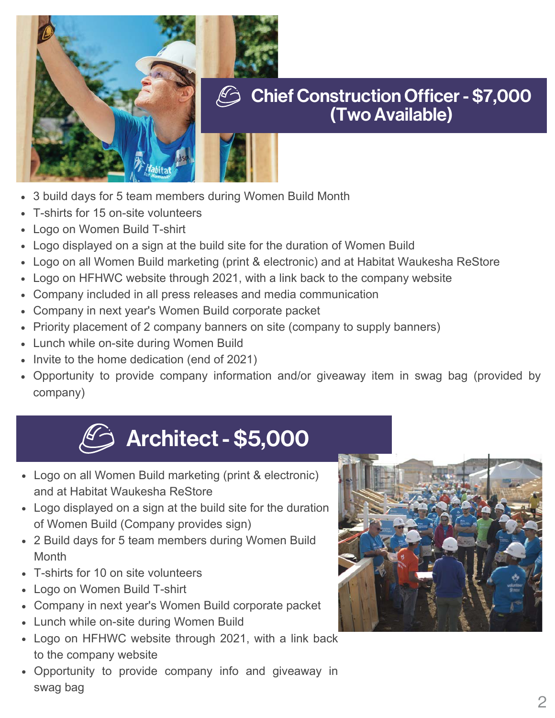

#### Chief Construction Officer - \$7,000 (Two Available)

- 3 build days for 5 team members during Women Build Month
- T-shirts for 15 on-site volunteers
- Logo on Women Build T-shirt
- Logo displayed on a sign at the build site for the duration of Women Build
- Logo on all Women Build marketing (print & electronic) and at Habitat Waukesha ReStore
- Logo on HFHWC website through 2021, with a link back to the company website
- Company included in all press releases and media communication
- Company in next year's Women Build corporate packet
- Priority placement of 2 company banners on site (company to supply banners)
- Lunch while on-site during Women Build
- Invite to the home dedication (end of 2021)
- Opportunity to provide company information and/or giveaway item in swag bag (provided by company)

## Architect - \$5,000 كُ

- Logo on all Women Build marketing (print & electronic) and at Habitat Waukesha ReStore
- Logo displayed on a sign at the build site for the duration of Women Build (Company provides sign)
- 2 Build days for 5 team members during Women Build **Month**
- T-shirts for 10 on site volunteers
- Logo on Women Build T-shirt
- Company in next year's Women Build corporate packet
- Lunch while on-site during Women Build
- Logo on HFHWC website through 2021, with a link back to the company website
- Opportunity to provide company info and giveaway in swag bag